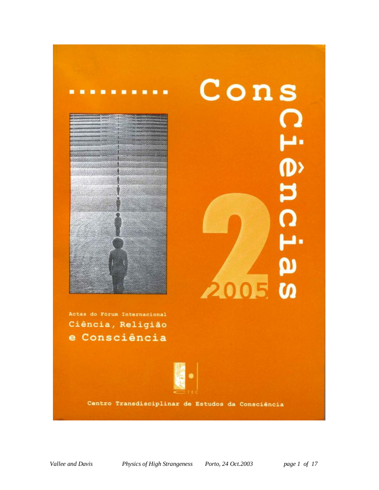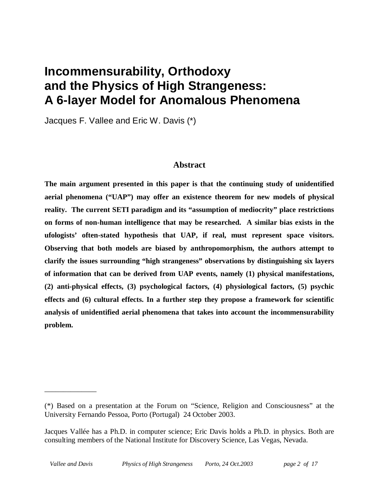# **Incommensurability, Orthodoxy and the Physics of High Strangeness: A 6-layer Model for Anomalous Phenomena**

Jacques F. Vallee and Eric W. Davis (\*)

#### **Abstract**

**The main argument presented in this paper is that the continuing study of unidentified aerial phenomena ("UAP") may offer an existence theorem for new models of physical reality. The current SETI paradigm and its "assumption of mediocrity" place restrictions on forms of non-human intelligence that may be researched. A similar bias exists in the ufologists' often-stated hypothesis that UAP, if real, must represent space visitors. Observing that both models are biased by anthropomorphism, the authors attempt to clarify the issues surrounding "high strangeness" observations by distinguishing six layers of information that can be derived from UAP events, namely (1) physical manifestations, (2) anti-physical effects, (3) psychological factors, (4) physiological factors, (5) psychic effects and (6) cultural effects. In a further step they propose a framework for scientific analysis of unidentified aerial phenomena that takes into account the incommensurability problem.** 

\_\_\_\_\_\_\_\_\_\_\_\_\_\_

<sup>(\*)</sup> Based on a presentation at the Forum on "Science, Religion and Consciousness" at the University Fernando Pessoa, Porto (Portugal) 24 October 2003.

Jacques Vallée has a Ph.D. in computer science; Eric Davis holds a Ph.D. in physics. Both are consulting members of the National Institute for Discovery Science, Las Vegas, Nevada.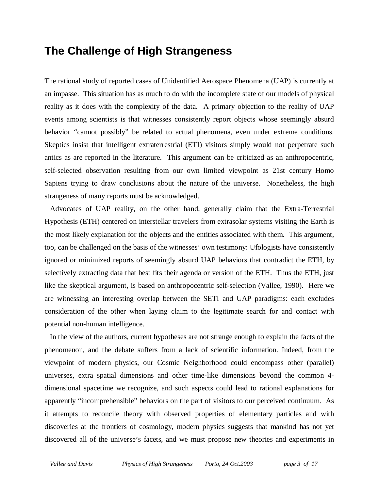## **The Challenge of High Strangeness**

The rational study of reported cases of Unidentified Aerospace Phenomena (UAP) is currently at an impasse. This situation has as much to do with the incomplete state of our models of physical reality as it does with the complexity of the data. A primary objection to the reality of UAP events among scientists is that witnesses consistently report objects whose seemingly absurd behavior "cannot possibly" be related to actual phenomena, even under extreme conditions. Skeptics insist that intelligent extraterrestrial (ETI) visitors simply would not perpetrate such antics as are reported in the literature. This argument can be criticized as an anthropocentric, self-selected observation resulting from our own limited viewpoint as 21st century Homo Sapiens trying to draw conclusions about the nature of the universe. Nonetheless, the high strangeness of many reports must be acknowledged.

 Advocates of UAP reality, on the other hand, generally claim that the Extra-Terrestrial Hypothesis (ETH) centered on interstellar travelers from extrasolar systems visiting the Earth is the most likely explanation for the objects and the entities associated with them. This argument, too, can be challenged on the basis of the witnesses' own testimony: Ufologists have consistently ignored or minimized reports of seemingly absurd UAP behaviors that contradict the ETH, by selectively extracting data that best fits their agenda or version of the ETH. Thus the ETH, just like the skeptical argument, is based on anthropocentric self-selection (Vallee, 1990). Here we are witnessing an interesting overlap between the SETI and UAP paradigms: each excludes consideration of the other when laying claim to the legitimate search for and contact with potential non-human intelligence.

 In the view of the authors, current hypotheses are not strange enough to explain the facts of the phenomenon, and the debate suffers from a lack of scientific information. Indeed, from the viewpoint of modern physics, our Cosmic Neighborhood could encompass other (parallel) universes, extra spatial dimensions and other time-like dimensions beyond the common 4 dimensional spacetime we recognize, and such aspects could lead to rational explanations for apparently "incomprehensible" behaviors on the part of visitors to our perceived continuum. As it attempts to reconcile theory with observed properties of elementary particles and with discoveries at the frontiers of cosmology, modern physics suggests that mankind has not yet discovered all of the universe's facets, and we must propose new theories and experiments in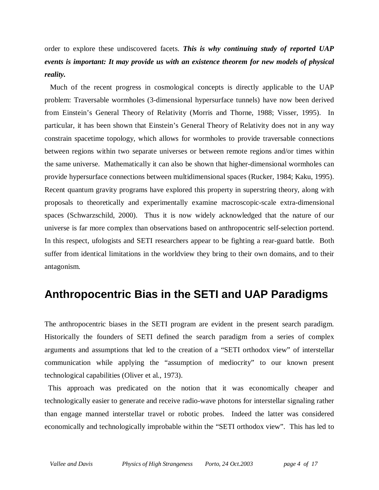order to explore these undiscovered facets. *This is why continuing study of reported UAP events is important: It may provide us with an existence theorem for new models of physical reality.* 

 Much of the recent progress in cosmological concepts is directly applicable to the UAP problem: Traversable wormholes (3-dimensional hypersurface tunnels) have now been derived from Einstein's General Theory of Relativity (Morris and Thorne, 1988; Visser, 1995). In particular, it has been shown that Einstein's General Theory of Relativity does not in any way constrain spacetime topology, which allows for wormholes to provide traversable connections between regions within two separate universes or between remote regions and/or times within the same universe. Mathematically it can also be shown that higher-dimensional wormholes can provide hypersurface connections between multidimensional spaces (Rucker, 1984; Kaku, 1995). Recent quantum gravity programs have explored this property in superstring theory, along with proposals to theoretically and experimentally examine macroscopic-scale extra-dimensional spaces (Schwarzschild, 2000). Thus it is now widely acknowledged that the nature of our universe is far more complex than observations based on anthropocentric self-selection portend. In this respect, ufologists and SETI researchers appear to be fighting a rear-guard battle. Both suffer from identical limitations in the worldview they bring to their own domains, and to their antagonism.

### **Anthropocentric Bias in the SETI and UAP Paradigms**

The anthropocentric biases in the SETI program are evident in the present search paradigm. Historically the founders of SETI defined the search paradigm from a series of complex arguments and assumptions that led to the creation of a "SETI orthodox view" of interstellar communication while applying the "assumption of mediocrity" to our known present technological capabilities (Oliver et al., 1973).

 This approach was predicated on the notion that it was economically cheaper and technologically easier to generate and receive radio-wave photons for interstellar signaling rather than engage manned interstellar travel or robotic probes. Indeed the latter was considered economically and technologically improbable within the "SETI orthodox view". This has led to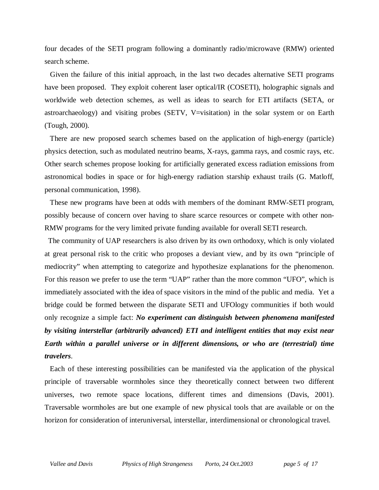four decades of the SETI program following a dominantly radio/microwave (RMW) oriented search scheme.

 Given the failure of this initial approach, in the last two decades alternative SETI programs have been proposed. They exploit coherent laser optical/IR (COSETI), holographic signals and worldwide web detection schemes, as well as ideas to search for ETI artifacts (SETA, or astroarchaeology) and visiting probes (SETV, V=visitation) in the solar system or on Earth (Tough, 2000).

 There are new proposed search schemes based on the application of high-energy (particle) physics detection, such as modulated neutrino beams, X-rays, gamma rays, and cosmic rays, etc. Other search schemes propose looking for artificially generated excess radiation emissions from astronomical bodies in space or for high-energy radiation starship exhaust trails (G. Matloff, personal communication, 1998).

 These new programs have been at odds with members of the dominant RMW-SETI program, possibly because of concern over having to share scarce resources or compete with other non-RMW programs for the very limited private funding available for overall SETI research.

 The community of UAP researchers is also driven by its own orthodoxy, which is only violated at great personal risk to the critic who proposes a deviant view, and by its own "principle of mediocrity" when attempting to categorize and hypothesize explanations for the phenomenon. For this reason we prefer to use the term "UAP" rather than the more common "UFO", which is immediately associated with the idea of space visitors in the mind of the public and media. Yet a bridge could be formed between the disparate SETI and UFOlogy communities if both would only recognize a simple fact: *No experiment can distinguish between phenomena manifested by visiting interstellar (arbitrarily advanced) ETI and intelligent entities that may exist near Earth within a parallel universe or in different dimensions, or who are (terrestrial) time travelers*.

 Each of these interesting possibilities can be manifested via the application of the physical principle of traversable wormholes since they theoretically connect between two different universes, two remote space locations, different times and dimensions (Davis, 2001). Traversable wormholes are but one example of new physical tools that are available or on the horizon for consideration of interuniversal, interstellar, interdimensional or chronological travel.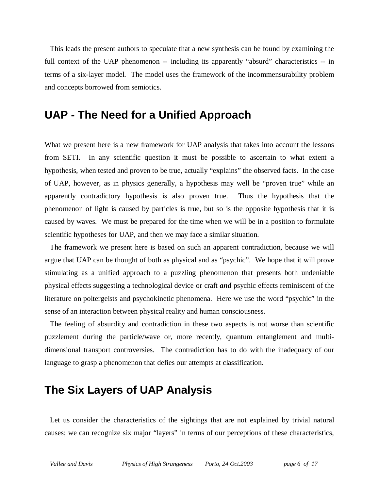This leads the present authors to speculate that a new synthesis can be found by examining the full context of the UAP phenomenon -- including its apparently "absurd" characteristics -- in terms of a six-layer model. The model uses the framework of the incommensurability problem and concepts borrowed from semiotics.

### **UAP - The Need for a Unified Approach**

What we present here is a new framework for UAP analysis that takes into account the lessons from SETI. In any scientific question it must be possible to ascertain to what extent a hypothesis, when tested and proven to be true, actually "explains" the observed facts. In the case of UAP, however, as in physics generally, a hypothesis may well be "proven true" while an apparently contradictory hypothesis is also proven true. Thus the hypothesis that the phenomenon of light is caused by particles is true, but so is the opposite hypothesis that it is caused by waves. We must be prepared for the time when we will be in a position to formulate scientific hypotheses for UAP, and then we may face a similar situation.

 The framework we present here is based on such an apparent contradiction, because we will argue that UAP can be thought of both as physical and as "psychic". We hope that it will prove stimulating as a unified approach to a puzzling phenomenon that presents both undeniable physical effects suggesting a technological device or craft *and* psychic effects reminiscent of the literature on poltergeists and psychokinetic phenomena. Here we use the word "psychic" in the sense of an interaction between physical reality and human consciousness.

 The feeling of absurdity and contradiction in these two aspects is not worse than scientific puzzlement during the particle/wave or, more recently, quantum entanglement and multidimensional transport controversies. The contradiction has to do with the inadequacy of our language to grasp a phenomenon that defies our attempts at classification.

### **The Six Layers of UAP Analysis**

 Let us consider the characteristics of the sightings that are not explained by trivial natural causes; we can recognize six major "layers" in terms of our perceptions of these characteristics,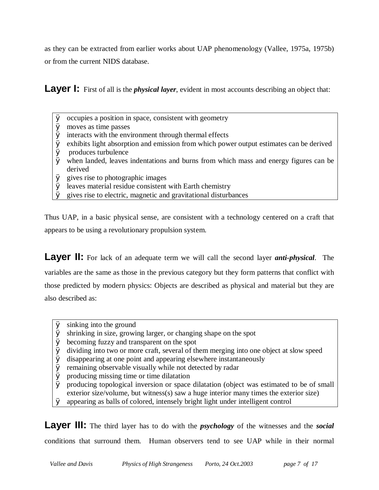as they can be extracted from earlier works about UAP phenomenology (Vallee, 1975a, 1975b) or from the current NIDS database.

**Layer I:** First of all is the *physical layer*, evident in most accounts describing an object that:

- Ø occupies a position in space, consistent with geometry
- Ø moves as time passes
- $\boldsymbol{\emptyset}$  interacts with the environment through thermal effects
- Ø exhibits light absorption and emission from which power output estimates can be derived
- Ø produces turbulence
- Ø when landed, leaves indentations and burns from which mass and energy figures can be derived
- Ø gives rise to photographic images
- Ø leaves material residue consistent with Earth chemistry
- Ø gives rise to electric, magnetic and gravitational disturbances

Thus UAP, in a basic physical sense, are consistent with a technology centered on a craft that appears to be using a revolutionary propulsion system.

**Layer II:** For lack of an adequate term we will call the second layer *anti-physical*. The variables are the same as those in the previous category but they form patterns that conflict with those predicted by modern physics: Objects are described as physical and material but they are also described as:

- Ø sinking into the ground
- Ø shrinking in size, growing larger, or changing shape on the spot
- Ø becoming fuzzy and transparent on the spot
- Ø dividing into two or more craft, several of them merging into one object at slow speed
- Ø disappearing at one point and appearing elsewhere instantaneously
- Ø remaining observable visually while not detected by radar
- Ø producing missing time or time dilatation
- Ø producing topological inversion or space dilatation (object was estimated to be of small exterior size/volume, but witness(s) saw a huge interior many times the exterior size)
- Ø appearing as balls of colored, intensely bright light under intelligent control

**Layer III:** The third layer has to do with the *psychology* of the witnesses and the *social* conditions that surround them. Human observers tend to see UAP while in their normal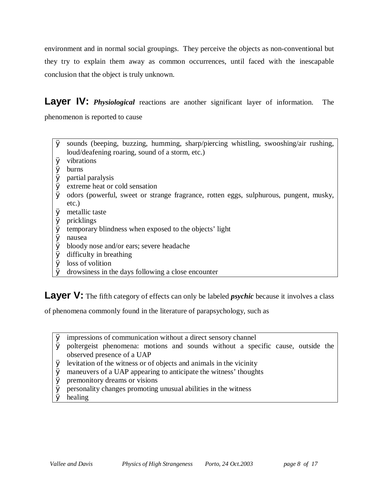environment and in normal social groupings. They perceive the objects as non-conventional but they try to explain them away as common occurrences, until faced with the inescapable conclusion that the object is truly unknown.

**Layer IV:** *Physiological* reactions are another significant layer of information. The phenomenon is reported to cause

- Ø sounds (beeping, buzzing, humming, sharp/piercing whistling, swooshing/air rushing, loud/deafening roaring, sound of a storm, etc.)
- Ø vibrations
- Ø burns
- Ø partial paralysis
- Ø extreme heat or cold sensation
- Ø odors (powerful, sweet or strange fragrance, rotten eggs, sulphurous, pungent, musky, etc.)
- Ø metallic taste
- Ø pricklings
- Ø temporary blindness when exposed to the objects' light
- Ø nausea
- Ø bloody nose and/or ears; severe headache
- Ø difficulty in breathing
- Ø loss of volition
- Ø drowsiness in the days following a close encounter

Layer V: The fifth category of effects can only be labeled *psychic* because it involves a class

of phenomena commonly found in the literature of parapsychology, such as

- Ø impressions of communication without a direct sensory channel
- Ø poltergeist phenomena: motions and sounds without a specific cause, outside the observed presence of a UAP
- Ø levitation of the witness or of objects and animals in the vicinity
- Ø maneuvers of a UAP appearing to anticipate the witness' thoughts
- Ø premonitory dreams or visions
- $\emptyset$  personality changes promoting unusual abilities in the witness
- Ø healing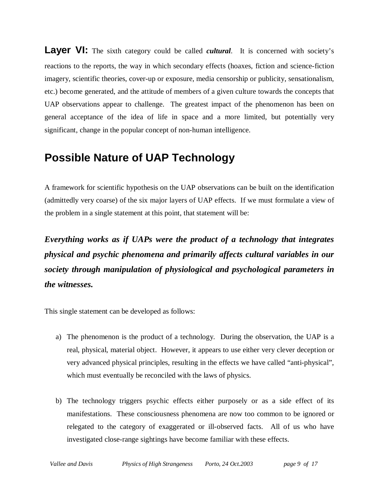**Layer VI:** The sixth category could be called *cultural*. It is concerned with society's reactions to the reports, the way in which secondary effects (hoaxes, fiction and science-fiction imagery, scientific theories, cover-up or exposure, media censorship or publicity, sensationalism, etc.) become generated, and the attitude of members of a given culture towards the concepts that UAP observations appear to challenge. The greatest impact of the phenomenon has been on general acceptance of the idea of life in space and a more limited, but potentially very significant, change in the popular concept of non-human intelligence.

### **Possible Nature of UAP Technology**

A framework for scientific hypothesis on the UAP observations can be built on the identification (admittedly very coarse) of the six major layers of UAP effects. If we must formulate a view of the problem in a single statement at this point, that statement will be:

*Everything works as if UAPs were the product of a technology that integrates physical and psychic phenomena and primarily affects cultural variables in our society through manipulation of physiological and psychological parameters in the witnesses.* 

This single statement can be developed as follows:

- a) The phenomenon is the product of a technology. During the observation, the UAP is a real, physical, material object. However, it appears to use either very clever deception or very advanced physical principles, resulting in the effects we have called "anti-physical", which must eventually be reconciled with the laws of physics.
- b) The technology triggers psychic effects either purposely or as a side effect of its manifestations. These consciousness phenomena are now too common to be ignored or relegated to the category of exaggerated or ill-observed facts. All of us who have investigated close-range sightings have become familiar with these effects.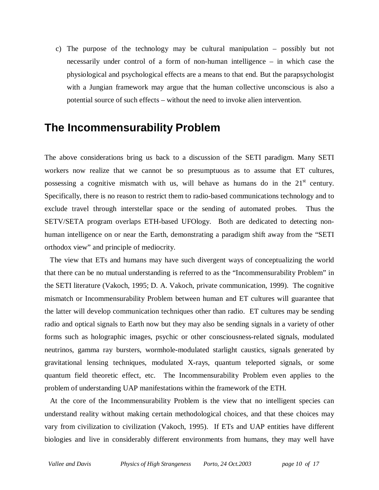c) The purpose of the technology may be cultural manipulation – possibly but not necessarily under control of a form of non-human intelligence – in which case the physiological and psychological effects are a means to that end. But the parapsychologist with a Jungian framework may argue that the human collective unconscious is also a potential source of such effects – without the need to invoke alien intervention.

# **The Incommensurability Problem**

The above considerations bring us back to a discussion of the SETI paradigm. Many SETI workers now realize that we cannot be so presumptuous as to assume that ET cultures, possessing a cognitive mismatch with us, will behave as humans do in the  $21<sup>st</sup>$  century. Specifically, there is no reason to restrict them to radio-based communications technology and to exclude travel through interstellar space or the sending of automated probes. Thus the SETV/SETA program overlaps ETH-based UFOlogy. Both are dedicated to detecting nonhuman intelligence on or near the Earth, demonstrating a paradigm shift away from the "SETI orthodox view" and principle of mediocrity.

 The view that ETs and humans may have such divergent ways of conceptualizing the world that there can be no mutual understanding is referred to as the "Incommensurability Problem" in the SETI literature (Vakoch, 1995; D. A. Vakoch, private communication, 1999). The cognitive mismatch or Incommensurability Problem between human and ET cultures will guarantee that the latter will develop communication techniques other than radio. ET cultures may be sending radio and optical signals to Earth now but they may also be sending signals in a variety of other forms such as holographic images, psychic or other consciousness-related signals, modulated neutrinos, gamma ray bursters, wormhole-modulated starlight caustics, signals generated by gravitational lensing techniques, modulated X-rays, quantum teleported signals, or some quantum field theoretic effect, etc. The Incommensurability Problem even applies to the problem of understanding UAP manifestations within the framework of the ETH.

 At the core of the Incommensurability Problem is the view that no intelligent species can understand reality without making certain methodological choices, and that these choices may vary from civilization to civilization (Vakoch, 1995). If ETs and UAP entities have different biologies and live in considerably different environments from humans, they may well have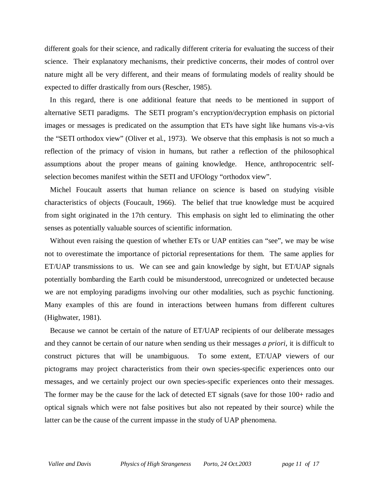different goals for their science, and radically different criteria for evaluating the success of their science. Their explanatory mechanisms, their predictive concerns, their modes of control over nature might all be very different, and their means of formulating models of reality should be expected to differ drastically from ours (Rescher, 1985).

 In this regard, there is one additional feature that needs to be mentioned in support of alternative SETI paradigms. The SETI program's encryption/decryption emphasis on pictorial images or messages is predicated on the assumption that ETs have sight like humans vis-a-vis the "SETI orthodox view" (Oliver et al., 1973). We observe that this emphasis is not so much a reflection of the primacy of vision in humans, but rather a reflection of the philosophical assumptions about the proper means of gaining knowledge. Hence, anthropocentric selfselection becomes manifest within the SETI and UFOlogy "orthodox view".

 Michel Foucault asserts that human reliance on science is based on studying visible characteristics of objects (Foucault, 1966). The belief that true knowledge must be acquired from sight originated in the 17th century. This emphasis on sight led to eliminating the other senses as potentially valuable sources of scientific information.

 Without even raising the question of whether ETs or UAP entities can "see", we may be wise not to overestimate the importance of pictorial representations for them. The same applies for ET/UAP transmissions to us. We can see and gain knowledge by sight, but ET/UAP signals potentially bombarding the Earth could be misunderstood, unrecognized or undetected because we are not employing paradigms involving our other modalities, such as psychic functioning. Many examples of this are found in interactions between humans from different cultures (Highwater, 1981).

 Because we cannot be certain of the nature of ET/UAP recipients of our deliberate messages and they cannot be certain of our nature when sending us their messages *a priori*, it is difficult to construct pictures that will be unambiguous. To some extent, ET/UAP viewers of our pictograms may project characteristics from their own species-specific experiences onto our messages, and we certainly project our own species-specific experiences onto their messages. The former may be the cause for the lack of detected ET signals (save for those 100+ radio and optical signals which were not false positives but also not repeated by their source) while the latter can be the cause of the current impasse in the study of UAP phenomena.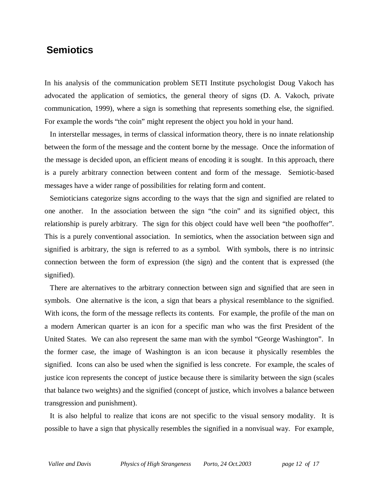#### **Semiotics**

In his analysis of the communication problem SETI Institute psychologist Doug Vakoch has advocated the application of semiotics, the general theory of signs (D. A. Vakoch, private communication, 1999), where a sign is something that represents something else, the signified. For example the words "the coin" might represent the object you hold in your hand.

 In interstellar messages, in terms of classical information theory, there is no innate relationship between the form of the message and the content borne by the message. Once the information of the message is decided upon, an efficient means of encoding it is sought. In this approach, there is a purely arbitrary connection between content and form of the message. Semiotic-based messages have a wider range of possibilities for relating form and content.

 Semioticians categorize signs according to the ways that the sign and signified are related to one another. In the association between the sign "the coin" and its signified object, this relationship is purely arbitrary. The sign for this object could have well been "the poofhoffer". This is a purely conventional association. In semiotics, when the association between sign and signified is arbitrary, the sign is referred to as a symbol. With symbols, there is no intrinsic connection between the form of expression (the sign) and the content that is expressed (the signified).

 There are alternatives to the arbitrary connection between sign and signified that are seen in symbols. One alternative is the icon, a sign that bears a physical resemblance to the signified. With icons, the form of the message reflects its contents. For example, the profile of the man on a modern American quarter is an icon for a specific man who was the first President of the United States. We can also represent the same man with the symbol "George Washington". In the former case, the image of Washington is an icon because it physically resembles the signified. Icons can also be used when the signified is less concrete. For example, the scales of justice icon represents the concept of justice because there is similarity between the sign (scales that balance two weights) and the signified (concept of justice, which involves a balance between transgression and punishment).

 It is also helpful to realize that icons are not specific to the visual sensory modality. It is possible to have a sign that physically resembles the signified in a nonvisual way. For example,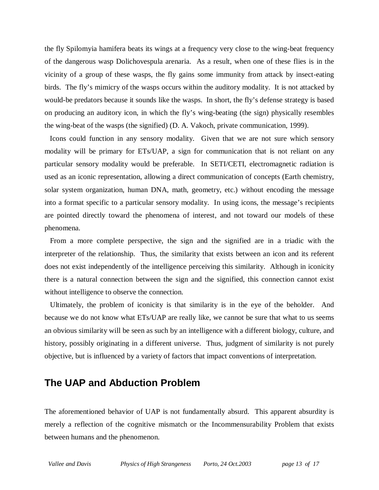the fly Spilomyia hamifera beats its wings at a frequency very close to the wing-beat frequency of the dangerous wasp Dolichovespula arenaria. As a result, when one of these flies is in the vicinity of a group of these wasps, the fly gains some immunity from attack by insect-eating birds. The fly's mimicry of the wasps occurs within the auditory modality. It is not attacked by would-be predators because it sounds like the wasps. In short, the fly's defense strategy is based on producing an auditory icon, in which the fly's wing-beating (the sign) physically resembles the wing-beat of the wasps (the signified) (D. A. Vakoch, private communication, 1999).

 Icons could function in any sensory modality. Given that we are not sure which sensory modality will be primary for ETs/UAP, a sign for communication that is not reliant on any particular sensory modality would be preferable. In SETI/CETI, electromagnetic radiation is used as an iconic representation, allowing a direct communication of concepts (Earth chemistry, solar system organization, human DNA, math, geometry, etc.) without encoding the message into a format specific to a particular sensory modality. In using icons, the message's recipients are pointed directly toward the phenomena of interest, and not toward our models of these phenomena.

 From a more complete perspective, the sign and the signified are in a triadic with the interpreter of the relationship. Thus, the similarity that exists between an icon and its referent does not exist independently of the intelligence perceiving this similarity. Although in iconicity there is a natural connection between the sign and the signified, this connection cannot exist without intelligence to observe the connection.

 Ultimately, the problem of iconicity is that similarity is in the eye of the beholder. And because we do not know what ETs/UAP are really like, we cannot be sure that what to us seems an obvious similarity will be seen as such by an intelligence with a different biology, culture, and history, possibly originating in a different universe. Thus, judgment of similarity is not purely objective, but is influenced by a variety of factors that impact conventions of interpretation.

#### **The UAP and Abduction Problem**

The aforementioned behavior of UAP is not fundamentally absurd. This apparent absurdity is merely a reflection of the cognitive mismatch or the Incommensurability Problem that exists between humans and the phenomenon.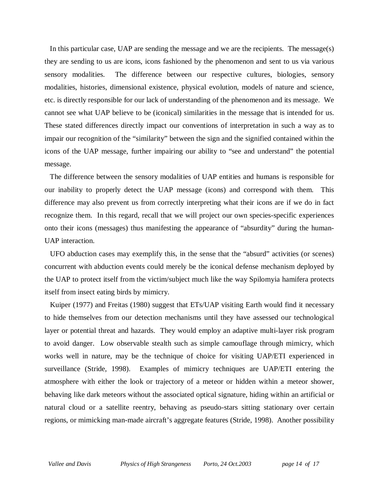In this particular case, UAP are sending the message and we are the recipients. The message(s) they are sending to us are icons, icons fashioned by the phenomenon and sent to us via various sensory modalities. The difference between our respective cultures, biologies, sensory modalities, histories, dimensional existence, physical evolution, models of nature and science, etc. is directly responsible for our lack of understanding of the phenomenon and its message. We cannot see what UAP believe to be (iconical) similarities in the message that is intended for us. These stated differences directly impact our conventions of interpretation in such a way as to impair our recognition of the "similarity" between the sign and the signified contained within the icons of the UAP message, further impairing our ability to "see and understand" the potential message.

 The difference between the sensory modalities of UAP entities and humans is responsible for our inability to properly detect the UAP message (icons) and correspond with them. This difference may also prevent us from correctly interpreting what their icons are if we do in fact recognize them. In this regard, recall that we will project our own species-specific experiences onto their icons (messages) thus manifesting the appearance of "absurdity" during the human-UAP interaction.

 UFO abduction cases may exemplify this, in the sense that the "absurd" activities (or scenes) concurrent with abduction events could merely be the iconical defense mechanism deployed by the UAP to protect itself from the victim/subject much like the way Spilomyia hamifera protects itself from insect eating birds by mimicry.

 Kuiper (1977) and Freitas (1980) suggest that ETs/UAP visiting Earth would find it necessary to hide themselves from our detection mechanisms until they have assessed our technological layer or potential threat and hazards. They would employ an adaptive multi-layer risk program to avoid danger. Low observable stealth such as simple camouflage through mimicry, which works well in nature, may be the technique of choice for visiting UAP/ETI experienced in surveillance (Stride, 1998). Examples of mimicry techniques are UAP/ETI entering the atmosphere with either the look or trajectory of a meteor or hidden within a meteor shower, behaving like dark meteors without the associated optical signature, hiding within an artificial or natural cloud or a satellite reentry, behaving as pseudo-stars sitting stationary over certain regions, or mimicking man-made aircraft's aggregate features (Stride, 1998). Another possibility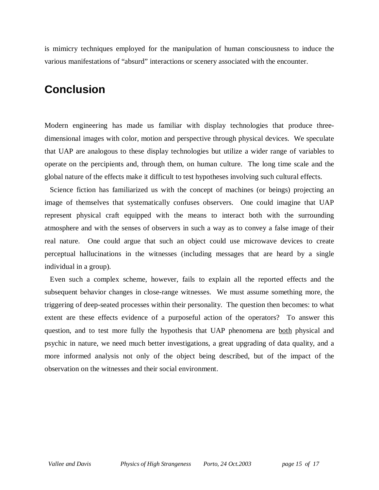is mimicry techniques employed for the manipulation of human consciousness to induce the various manifestations of "absurd" interactions or scenery associated with the encounter.

# **Conclusion**

Modern engineering has made us familiar with display technologies that produce threedimensional images with color, motion and perspective through physical devices. We speculate that UAP are analogous to these display technologies but utilize a wider range of variables to operate on the percipients and, through them, on human culture. The long time scale and the global nature of the effects make it difficult to test hypotheses involving such cultural effects.

 Science fiction has familiarized us with the concept of machines (or beings) projecting an image of themselves that systematically confuses observers. One could imagine that UAP represent physical craft equipped with the means to interact both with the surrounding atmosphere and with the senses of observers in such a way as to convey a false image of their real nature. One could argue that such an object could use microwave devices to create perceptual hallucinations in the witnesses (including messages that are heard by a single individual in a group).

 Even such a complex scheme, however, fails to explain all the reported effects and the subsequent behavior changes in close-range witnesses. We must assume something more, the triggering of deep-seated processes within their personality. The question then becomes: to what extent are these effects evidence of a purposeful action of the operators? To answer this question, and to test more fully the hypothesis that UAP phenomena are both physical and psychic in nature, we need much better investigations, a great upgrading of data quality, and a more informed analysis not only of the object being described, but of the impact of the observation on the witnesses and their social environment.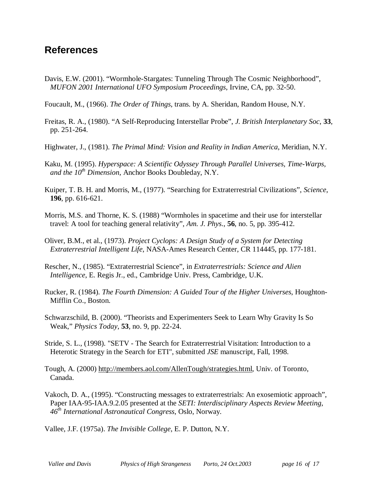#### **References**

Davis, E.W. (2001). "Wormhole-Stargates: Tunneling Through The Cosmic Neighborhood", *MUFON 2001 International UFO Symposium Proceedings*, Irvine, CA, pp. 32-50.

Foucault, M., (1966). *The Order of Things*, trans. by A. Sheridan, Random House, N.Y.

- Freitas, R. A., (1980). "A Self-Reproducing Interstellar Probe", *J. British Interplanetary Soc*, **33**, pp. 251-264.
- Highwater, J., (1981). *The Primal Mind: Vision and Reality in Indian America*, Meridian, N.Y.
- Kaku, M. (1995). *Hyperspace: A Scientific Odyssey Through Parallel Universes, Time-Warps, and the 10th Dimension*, Anchor Books Doubleday, N.Y.
- Kuiper, T. B. H. and Morris, M., (1977). "Searching for Extraterrestrial Civilizations", *Science*, **196**, pp. 616-621.
- Morris, M.S. and Thorne, K. S. (1988) "Wormholes in spacetime and their use for interstellar travel: A tool for teaching general relativity", *Am. J. Phys*., **56**, no. 5, pp. 395-412.
- Oliver, B.M., et al., (1973). *Project Cyclops: A Design Study of a System for Detecting Extraterrestrial Intelligent Life*, NASA-Ames Research Center, CR 114445, pp. 177-181.
- Rescher, N., (1985). "Extraterrestrial Science", in *Extraterrestrials: Science and Alien Intelligence*, E. Regis Jr., ed., Cambridge Univ. Press, Cambridge, U.K.
- Rucker, R. (1984). *The Fourth Dimension: A Guided Tour of the Higher Universes*, Houghton- Mifflin Co., Boston.
- Schwarzschild, B. (2000). "Theorists and Experimenters Seek to Learn Why Gravity Is So Weak," *Physics Today*, **53**, no. 9, pp. 22-24.
- Stride, S. L., (1998). "SETV The Search for Extraterrestrial Visitation: Introduction to a Heterotic Strategy in the Search for ETI", submitted *JSE* manuscript, Fall, 1998.
- Tough, A. (2000) [http://members.aol.com/AllenTough/strategies.html,](http://members.aol.com/AllenTough/strategies.html) Univ. of Toronto, Canada.
- Vakoch, D. A., (1995). "Constructing messages to extraterrestrials: An exosemiotic approach", Paper IAA-95-IAA.9.2.05 presented at the *SETI: Interdisciplinary Aspects Review Meeting*, *46th International Astronautical Congress*, Oslo, Norway.

Vallee, J.F. (1975a). *The Invisible College*, E. P. Dutton, N.Y.